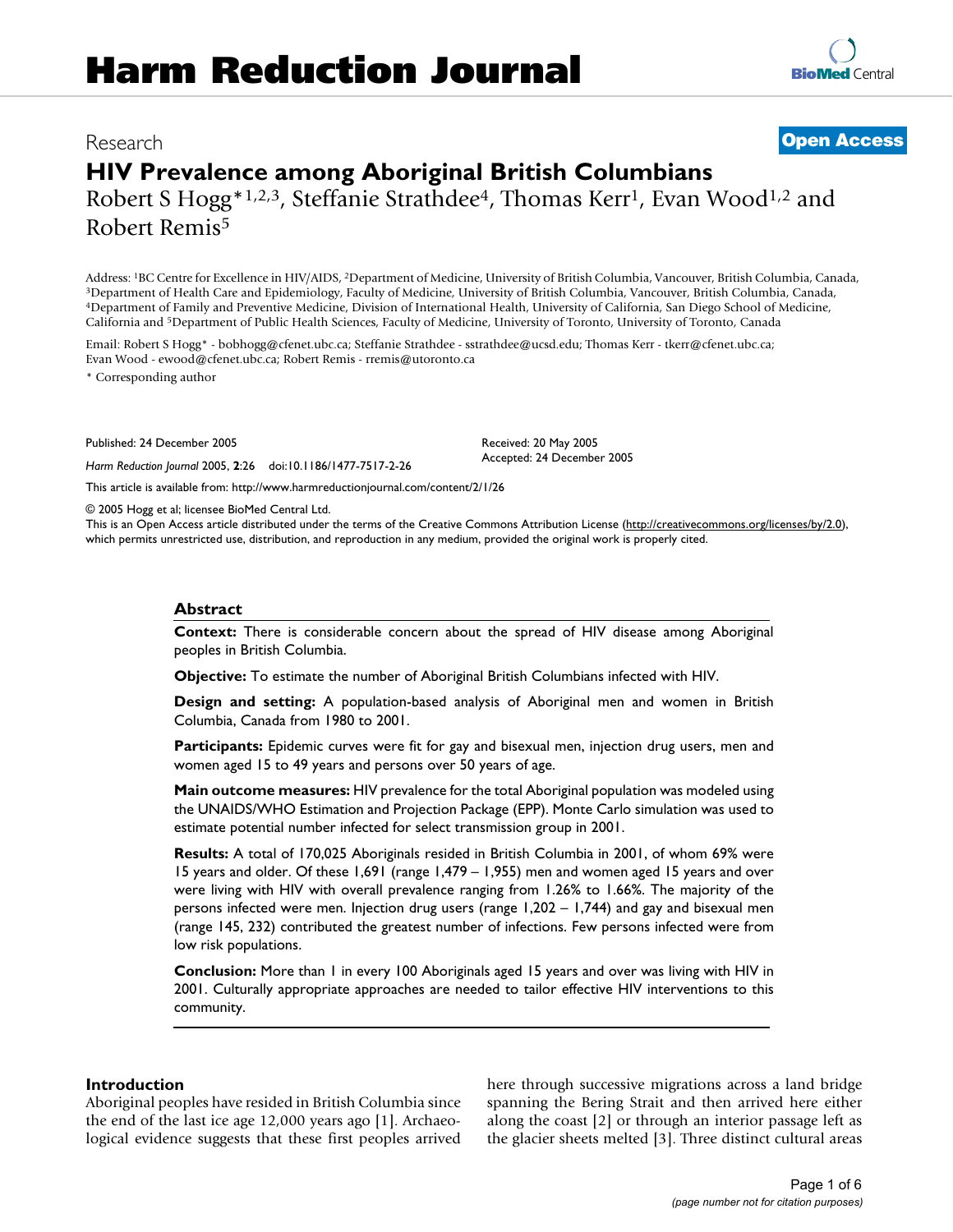# Research **[Open Access](http://www.biomedcentral.com/info/about/charter/)**

# **HIV Prevalence among Aboriginal British Columbians** Robert S Hogg<sup>\*1,2,3</sup>, Steffanie Strathdee<sup>4</sup>, Thomas Kerr<sup>1</sup>, Evan Wood<sup>1,2</sup> and Robert Remis5

Address: <sup>1</sup>BC Centre for Excellence in HIV/AIDS, <sup>2</sup>Department of Medicine, University of British Columbia, Vancouver, British Columbia, Canada,<br><sup>3</sup>Department of Health Care and Epidemiology, Faculty of Medicine, Universi California and 5Department of Public Health Sciences, Faculty of Medicine, University of Toronto, University of Toronto, Canada

Email: Robert S Hogg\* - bobhogg@cfenet.ubc.ca; Steffanie Strathdee - sstrathdee@ucsd.edu; Thomas Kerr - tkerr@cfenet.ubc.ca; Evan Wood - ewood@cfenet.ubc.ca; Robert Remis - rremis@utoronto.ca

\* Corresponding author

Published: 24 December 2005

*Harm Reduction Journal* 2005, **2**:26 doi:10.1186/1477-7517-2-26

[This article is available from: http://www.harmreductionjournal.com/content/2/1/26](http://www.harmreductionjournal.com/content/2/1/26)

© 2005 Hogg et al; licensee BioMed Central Ltd.

This is an Open Access article distributed under the terms of the Creative Commons Attribution License [\(http://creativecommons.org/licenses/by/2.0\)](http://creativecommons.org/licenses/by/2.0), which permits unrestricted use, distribution, and reproduction in any medium, provided the original work is properly cited.

Received: 20 May 2005 Accepted: 24 December 2005

#### **Abstract**

**Context:** There is considerable concern about the spread of HIV disease among Aboriginal peoples in British Columbia.

**Objective:** To estimate the number of Aboriginal British Columbians infected with HIV.

**Design and setting:** A population-based analysis of Aboriginal men and women in British Columbia, Canada from 1980 to 2001.

**Participants:** Epidemic curves were fit for gay and bisexual men, injection drug users, men and women aged 15 to 49 years and persons over 50 years of age.

**Main outcome measures:** HIV prevalence for the total Aboriginal population was modeled using the UNAIDS/WHO Estimation and Projection Package (EPP). Monte Carlo simulation was used to estimate potential number infected for select transmission group in 2001.

**Results:** A total of 170,025 Aboriginals resided in British Columbia in 2001, of whom 69% were 15 years and older. Of these 1,691 (range 1,479 – 1,955) men and women aged 15 years and over were living with HIV with overall prevalence ranging from 1.26% to 1.66%. The majority of the persons infected were men. Injection drug users (range 1,202 – 1,744) and gay and bisexual men (range 145, 232) contributed the greatest number of infections. Few persons infected were from low risk populations.

**Conclusion:** More than 1 in every 100 Aboriginals aged 15 years and over was living with HIV in 2001. Culturally appropriate approaches are needed to tailor effective HIV interventions to this community.

#### **Introduction**

Aboriginal peoples have resided in British Columbia since the end of the last ice age 12,000 years ago [1]. Archaeological evidence suggests that these first peoples arrived here through successive migrations across a land bridge spanning the Bering Strait and then arrived here either along the coast [2] or through an interior passage left as the glacier sheets melted [3]. Three distinct cultural areas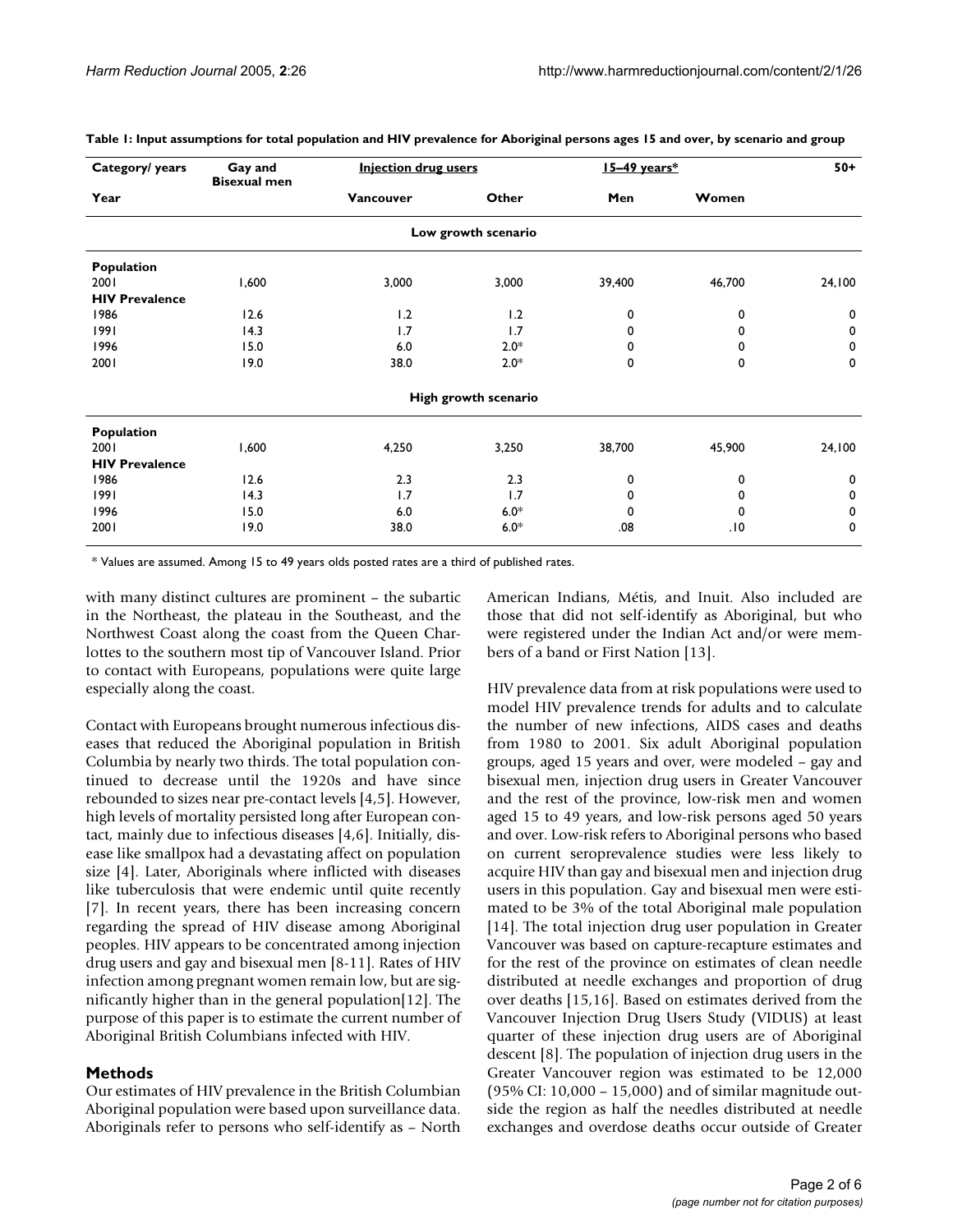| Category/ years       | Gay and<br><b>Bisexual men</b> | <b>Injection drug users</b> |                      | $15-49$ years* |        | $50+$  |
|-----------------------|--------------------------------|-----------------------------|----------------------|----------------|--------|--------|
| Year                  |                                | <b>Vancouver</b>            | Other                | Men            | Women  |        |
|                       |                                |                             | Low growth scenario  |                |        |        |
| Population            |                                |                             |                      |                |        |        |
| 2001                  | 1,600                          | 3,000                       | 3,000                | 39,400         | 46,700 | 24,100 |
| <b>HIV Prevalence</b> |                                |                             |                      |                |        |        |
| 1986                  | 12.6                           | 1.2                         | 1.2                  | 0              | 0      | 0      |
| 1991                  | 14.3                           | 1.7                         | 1.7                  | 0              | 0      | 0      |
| 1996                  | 15.0                           | 6.0                         | $2.0*$               | 0              | 0      | 0      |
| 2001                  | 19.0                           | 38.0                        | $2.0*$               | 0              | 0      | 0      |
|                       |                                |                             | High growth scenario |                |        |        |
| Population            |                                |                             |                      |                |        |        |
| 2001                  | 1,600                          | 4,250                       | 3,250                | 38,700         | 45,900 | 24,100 |
| <b>HIV Prevalence</b> |                                |                             |                      |                |        |        |
| 1986                  | 12.6                           | 2.3                         | 2.3                  | 0              | 0      | 0      |
| 1991                  | 14.3                           | 1.7                         | 1.7                  | 0              | 0      | 0      |
| 1996                  | 15.0                           | 6.0                         | $6.0*$               | 0              | 0      | 0      |
| 2001                  | 19.0                           | 38.0                        | $6.0*$               | .08            | .10    | 0      |

**Table 1: Input assumptions for total population and HIV prevalence for Aboriginal persons ages 15 and over, by scenario and group**

\* Values are assumed. Among 15 to 49 years olds posted rates are a third of published rates.

with many distinct cultures are prominent – the subartic in the Northeast, the plateau in the Southeast, and the Northwest Coast along the coast from the Queen Charlottes to the southern most tip of Vancouver Island. Prior to contact with Europeans, populations were quite large especially along the coast.

Contact with Europeans brought numerous infectious diseases that reduced the Aboriginal population in British Columbia by nearly two thirds. The total population continued to decrease until the 1920s and have since rebounded to sizes near pre-contact levels [4,5]. However, high levels of mortality persisted long after European contact, mainly due to infectious diseases [4,6]. Initially, disease like smallpox had a devastating affect on population size [4]. Later, Aboriginals where inflicted with diseases like tuberculosis that were endemic until quite recently [7]. In recent years, there has been increasing concern regarding the spread of HIV disease among Aboriginal peoples. HIV appears to be concentrated among injection drug users and gay and bisexual men [8-11]. Rates of HIV infection among pregnant women remain low, but are significantly higher than in the general population[12]. The purpose of this paper is to estimate the current number of Aboriginal British Columbians infected with HIV.

# **Methods**

Our estimates of HIV prevalence in the British Columbian Aboriginal population were based upon surveillance data. Aboriginals refer to persons who self-identify as – North American Indians, Métis, and Inuit. Also included are those that did not self-identify as Aboriginal, but who were registered under the Indian Act and/or were members of a band or First Nation [13].

HIV prevalence data from at risk populations were used to model HIV prevalence trends for adults and to calculate the number of new infections, AIDS cases and deaths from 1980 to 2001. Six adult Aboriginal population groups, aged 15 years and over, were modeled – gay and bisexual men, injection drug users in Greater Vancouver and the rest of the province, low-risk men and women aged 15 to 49 years, and low-risk persons aged 50 years and over. Low-risk refers to Aboriginal persons who based on current seroprevalence studies were less likely to acquire HIV than gay and bisexual men and injection drug users in this population. Gay and bisexual men were estimated to be 3% of the total Aboriginal male population [14]. The total injection drug user population in Greater Vancouver was based on capture-recapture estimates and for the rest of the province on estimates of clean needle distributed at needle exchanges and proportion of drug over deaths [15,16]. Based on estimates derived from the Vancouver Injection Drug Users Study (VIDUS) at least quarter of these injection drug users are of Aboriginal descent [8]. The population of injection drug users in the Greater Vancouver region was estimated to be 12,000 (95% CI: 10,000 – 15,000) and of similar magnitude outside the region as half the needles distributed at needle exchanges and overdose deaths occur outside of Greater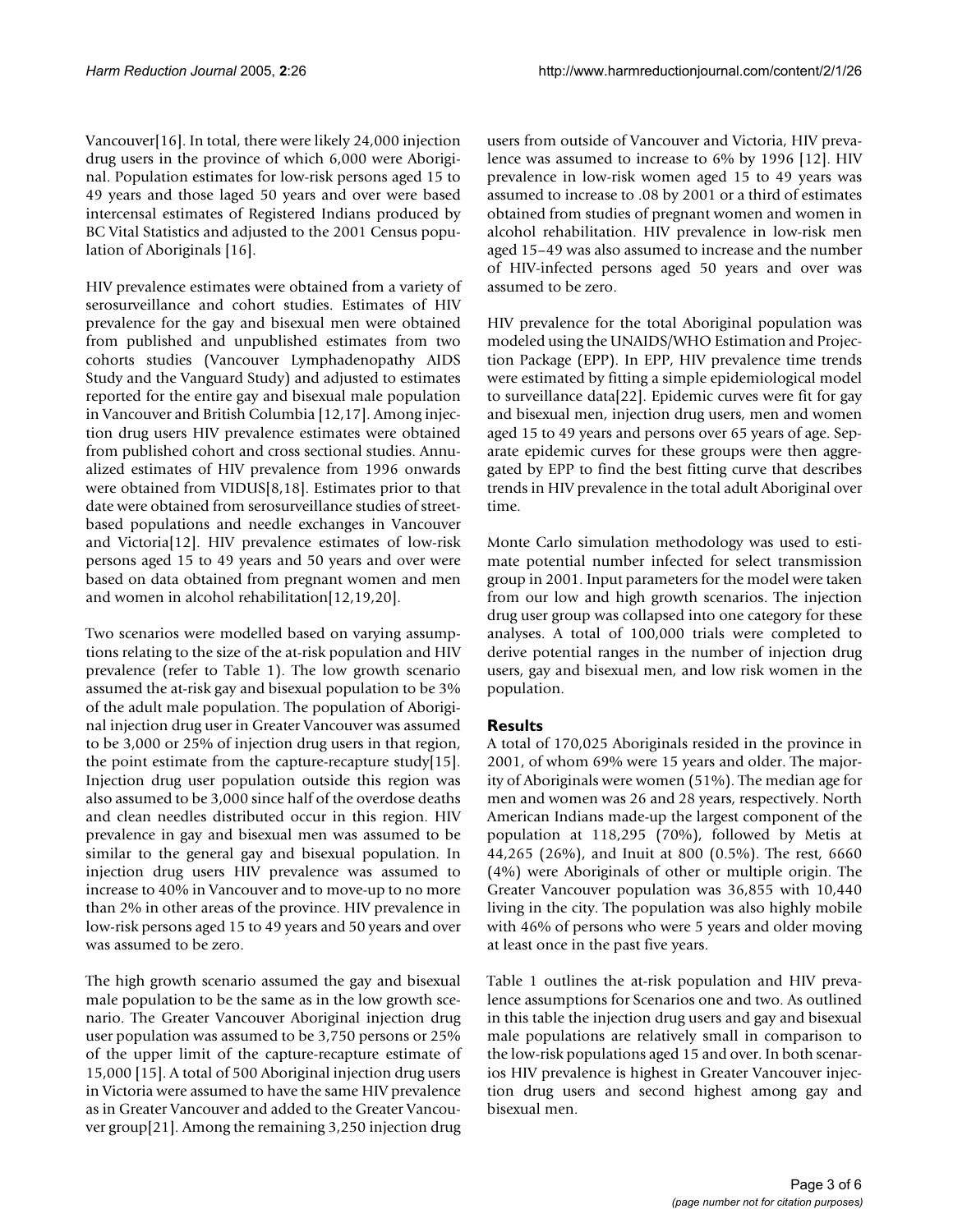Vancouver[16]. In total, there were likely 24,000 injection drug users in the province of which 6,000 were Aboriginal. Population estimates for low-risk persons aged 15 to 49 years and those laged 50 years and over were based intercensal estimates of Registered Indians produced by BC Vital Statistics and adjusted to the 2001 Census population of Aboriginals [16].

HIV prevalence estimates were obtained from a variety of serosurveillance and cohort studies. Estimates of HIV prevalence for the gay and bisexual men were obtained from published and unpublished estimates from two cohorts studies (Vancouver Lymphadenopathy AIDS Study and the Vanguard Study) and adjusted to estimates reported for the entire gay and bisexual male population in Vancouver and British Columbia [12,17]. Among injection drug users HIV prevalence estimates were obtained from published cohort and cross sectional studies. Annualized estimates of HIV prevalence from 1996 onwards were obtained from VIDUS[8,18]. Estimates prior to that date were obtained from serosurveillance studies of streetbased populations and needle exchanges in Vancouver and Victoria[12]. HIV prevalence estimates of low-risk persons aged 15 to 49 years and 50 years and over were based on data obtained from pregnant women and men and women in alcohol rehabilitation[12,19,20].

Two scenarios were modelled based on varying assumptions relating to the size of the at-risk population and HIV prevalence (refer to Table 1). The low growth scenario assumed the at-risk gay and bisexual population to be 3% of the adult male population. The population of Aboriginal injection drug user in Greater Vancouver was assumed to be 3,000 or 25% of injection drug users in that region, the point estimate from the capture-recapture study[15]. Injection drug user population outside this region was also assumed to be 3,000 since half of the overdose deaths and clean needles distributed occur in this region. HIV prevalence in gay and bisexual men was assumed to be similar to the general gay and bisexual population. In injection drug users HIV prevalence was assumed to increase to 40% in Vancouver and to move-up to no more than 2% in other areas of the province. HIV prevalence in low-risk persons aged 15 to 49 years and 50 years and over was assumed to be zero.

The high growth scenario assumed the gay and bisexual male population to be the same as in the low growth scenario. The Greater Vancouver Aboriginal injection drug user population was assumed to be 3,750 persons or 25% of the upper limit of the capture-recapture estimate of 15,000 [15]. A total of 500 Aboriginal injection drug users in Victoria were assumed to have the same HIV prevalence as in Greater Vancouver and added to the Greater Vancouver group[21]. Among the remaining 3,250 injection drug users from outside of Vancouver and Victoria, HIV prevalence was assumed to increase to 6% by 1996 [12]. HIV prevalence in low-risk women aged 15 to 49 years was assumed to increase to .08 by 2001 or a third of estimates obtained from studies of pregnant women and women in alcohol rehabilitation. HIV prevalence in low-risk men aged 15–49 was also assumed to increase and the number of HIV-infected persons aged 50 years and over was assumed to be zero.

HIV prevalence for the total Aboriginal population was modeled using the UNAIDS/WHO Estimation and Projection Package (EPP). In EPP, HIV prevalence time trends were estimated by fitting a simple epidemiological model to surveillance data[22]. Epidemic curves were fit for gay and bisexual men, injection drug users, men and women aged 15 to 49 years and persons over 65 years of age. Separate epidemic curves for these groups were then aggregated by EPP to find the best fitting curve that describes trends in HIV prevalence in the total adult Aboriginal over time.

Monte Carlo simulation methodology was used to estimate potential number infected for select transmission group in 2001. Input parameters for the model were taken from our low and high growth scenarios. The injection drug user group was collapsed into one category for these analyses. A total of 100,000 trials were completed to derive potential ranges in the number of injection drug users, gay and bisexual men, and low risk women in the population.

## **Results**

A total of 170,025 Aboriginals resided in the province in 2001, of whom 69% were 15 years and older. The majority of Aboriginals were women (51%). The median age for men and women was 26 and 28 years, respectively. North American Indians made-up the largest component of the population at 118,295 (70%), followed by Metis at 44,265 (26%), and Inuit at 800 (0.5%). The rest, 6660 (4%) were Aboriginals of other or multiple origin. The Greater Vancouver population was 36,855 with 10,440 living in the city. The population was also highly mobile with 46% of persons who were 5 years and older moving at least once in the past five years.

Table 1 outlines the at-risk population and HIV prevalence assumptions for Scenarios one and two. As outlined in this table the injection drug users and gay and bisexual male populations are relatively small in comparison to the low-risk populations aged 15 and over. In both scenarios HIV prevalence is highest in Greater Vancouver injection drug users and second highest among gay and bisexual men.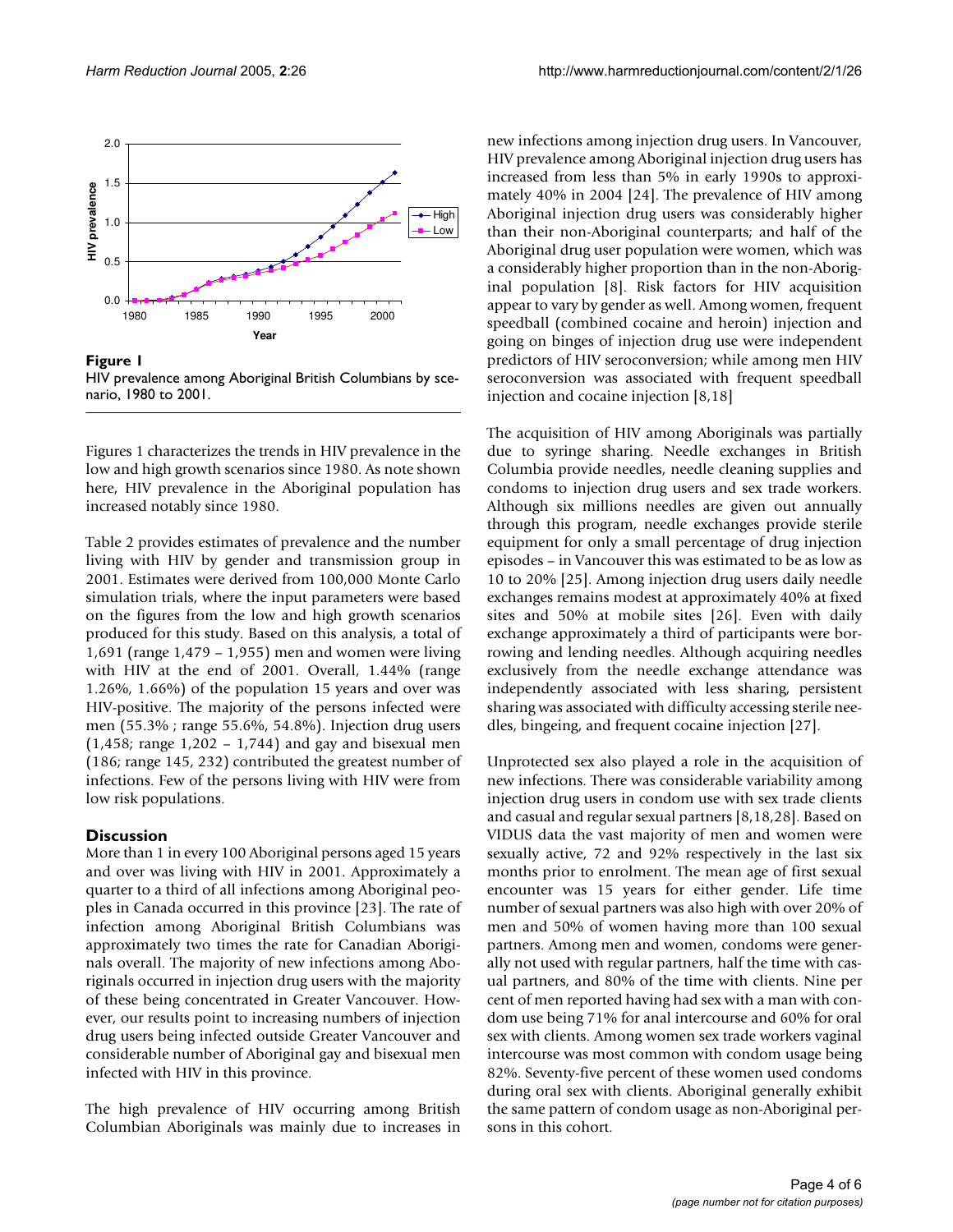

Figure 1 HIV prevalence among Aboriginal British Columbians by scenario, 1980 to 2001.

Figures 1 characterizes the trends in HIV prevalence in the low and high growth scenarios since 1980. As note shown here, HIV prevalence in the Aboriginal population has increased notably since 1980.

Table 2 provides estimates of prevalence and the number living with HIV by gender and transmission group in 2001. Estimates were derived from 100,000 Monte Carlo simulation trials, where the input parameters were based on the figures from the low and high growth scenarios produced for this study. Based on this analysis, a total of 1,691 (range 1,479 – 1,955) men and women were living with HIV at the end of 2001. Overall, 1.44% (range 1.26%, 1.66%) of the population 15 years and over was HIV-positive. The majority of the persons infected were men (55.3% ; range 55.6%, 54.8%). Injection drug users (1,458; range 1,202 – 1,744) and gay and bisexual men (186; range 145, 232) contributed the greatest number of infections. Few of the persons living with HIV were from low risk populations.

# **Discussion**

More than 1 in every 100 Aboriginal persons aged 15 years and over was living with HIV in 2001. Approximately a quarter to a third of all infections among Aboriginal peoples in Canada occurred in this province [23]. The rate of infection among Aboriginal British Columbians was approximately two times the rate for Canadian Aboriginals overall. The majority of new infections among Aboriginals occurred in injection drug users with the majority of these being concentrated in Greater Vancouver. However, our results point to increasing numbers of injection drug users being infected outside Greater Vancouver and considerable number of Aboriginal gay and bisexual men infected with HIV in this province.

The high prevalence of HIV occurring among British Columbian Aboriginals was mainly due to increases in

new infections among injection drug users. In Vancouver, HIV prevalence among Aboriginal injection drug users has increased from less than 5% in early 1990s to approximately 40% in 2004 [24]. The prevalence of HIV among Aboriginal injection drug users was considerably higher than their non-Aboriginal counterparts; and half of the Aboriginal drug user population were women, which was a considerably higher proportion than in the non-Aboriginal population [8]. Risk factors for HIV acquisition appear to vary by gender as well. Among women, frequent speedball (combined cocaine and heroin) injection and going on binges of injection drug use were independent predictors of HIV seroconversion; while among men HIV seroconversion was associated with frequent speedball injection and cocaine injection [8,18]

The acquisition of HIV among Aboriginals was partially due to syringe sharing. Needle exchanges in British Columbia provide needles, needle cleaning supplies and condoms to injection drug users and sex trade workers. Although six millions needles are given out annually through this program, needle exchanges provide sterile equipment for only a small percentage of drug injection episodes – in Vancouver this was estimated to be as low as 10 to 20% [25]. Among injection drug users daily needle exchanges remains modest at approximately 40% at fixed sites and 50% at mobile sites [26]. Even with daily exchange approximately a third of participants were borrowing and lending needles. Although acquiring needles exclusively from the needle exchange attendance was independently associated with less sharing, persistent sharing was associated with difficulty accessing sterile needles, bingeing, and frequent cocaine injection [27].

Unprotected sex also played a role in the acquisition of new infections. There was considerable variability among injection drug users in condom use with sex trade clients and casual and regular sexual partners [8,18,28]. Based on VIDUS data the vast majority of men and women were sexually active, 72 and 92% respectively in the last six months prior to enrolment. The mean age of first sexual encounter was 15 years for either gender. Life time number of sexual partners was also high with over 20% of men and 50% of women having more than 100 sexual partners. Among men and women, condoms were generally not used with regular partners, half the time with casual partners, and 80% of the time with clients. Nine per cent of men reported having had sex with a man with condom use being 71% for anal intercourse and 60% for oral sex with clients. Among women sex trade workers vaginal intercourse was most common with condom usage being 82%. Seventy-five percent of these women used condoms during oral sex with clients. Aboriginal generally exhibit the same pattern of condom usage as non-Aboriginal persons in this cohort.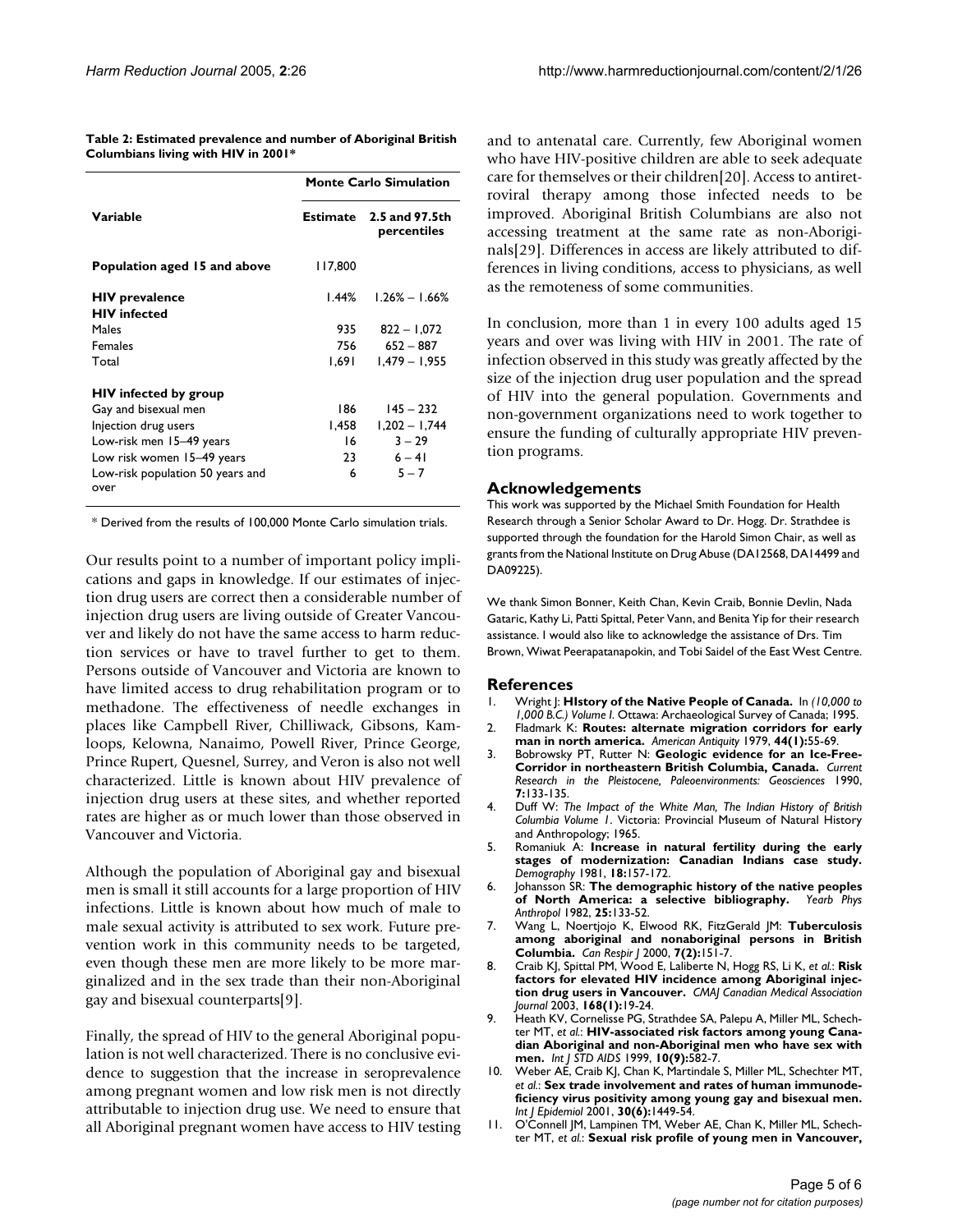**Table 2: Estimated prevalence and number of Aboriginal British Columbians living with HIV in 2001\***

|                                              | <b>Monte Carlo Simulation</b> |                               |
|----------------------------------------------|-------------------------------|-------------------------------|
| Variable                                     | <b>Estimate</b>               | 2.5 and 97.5th<br>percentiles |
| Population aged 15 and above                 | 117,800                       |                               |
| <b>HIV</b> prevalence<br><b>HIV</b> infected | $1.44\%$                      | $1.26\% - 1.66\%$             |
| Males                                        | 935                           | $822 - 1,072$                 |
| Females                                      | 756                           | $652 - 887$                   |
| Total                                        | 1,691                         | $1.479 - 1.955$               |
| <b>HIV</b> infected by group                 |                               |                               |
| Gay and bisexual men                         | 186                           | $145 - 232$                   |
| Injection drug users                         | l.458                         | $1,202 - 1,744$               |
| Low-risk men 15–49 years                     | 16                            | $3 - 29$                      |
| Low risk women 15–49 years                   | 23                            | $6 - 41$                      |
| Low-risk population 50 years and<br>over     | 6                             | $5 - 7$                       |

\* Derived from the results of 100,000 Monte Carlo simulation trials.

Our results point to a number of important policy implications and gaps in knowledge. If our estimates of injection drug users are correct then a considerable number of injection drug users are living outside of Greater Vancouver and likely do not have the same access to harm reduction services or have to travel further to get to them. Persons outside of Vancouver and Victoria are known to have limited access to drug rehabilitation program or to methadone. The effectiveness of needle exchanges in places like Campbell River, Chilliwack, Gibsons, Kamloops, Kelowna, Nanaimo, Powell River, Prince George, Prince Rupert, Quesnel, Surrey, and Veron is also not well characterized. Little is known about HIV prevalence of injection drug users at these sites, and whether reported rates are higher as or much lower than those observed in Vancouver and Victoria.

Although the population of Aboriginal gay and bisexual men is small it still accounts for a large proportion of HIV infections. Little is known about how much of male to male sexual activity is attributed to sex work. Future prevention work in this community needs to be targeted, even though these men are more likely to be more marginalized and in the sex trade than their non-Aboriginal gay and bisexual counterparts[9].

Finally, the spread of HIV to the general Aboriginal population is not well characterized. There is no conclusive evidence to suggestion that the increase in seroprevalence among pregnant women and low risk men is not directly attributable to injection drug use. We need to ensure that all Aboriginal pregnant women have access to HIV testing and to antenatal care. Currently, few Aboriginal women who have HIV-positive children are able to seek adequate care for themselves or their children[20]. Access to antiretroviral therapy among those infected needs to be improved. Aboriginal British Columbians are also not accessing treatment at the same rate as non-Aboriginals[29]. Differences in access are likely attributed to differences in living conditions, access to physicians, as well as the remoteness of some communities.

In conclusion, more than 1 in every 100 adults aged 15 years and over was living with HIV in 2001. The rate of infection observed in this study was greatly affected by the size of the injection drug user population and the spread of HIV into the general population. Governments and non-government organizations need to work together to ensure the funding of culturally appropriate HIV prevention programs.

### **Acknowledgements**

This work was supported by the Michael Smith Foundation for Health Research through a Senior Scholar Award to Dr. Hogg. Dr. Strathdee is supported through the foundation for the Harold Simon Chair, as well as grants from the National Institute on Drug Abuse (DA12568, DA14499 and DA09225).

We thank Simon Bonner, Keith Chan, Kevin Craib, Bonnie Devlin, Nada Gataric, Kathy Li, Patti Spittal, Peter Vann, and Benita Yip for their research assistance. I would also like to acknowledge the assistance of Drs. Tim Brown, Wiwat Peerapatanapokin, and Tobi Saidel of the East West Centre.

### **References**

- 1. Wright J: **HIstory of the Native People of Canada.** In *(10,000 to 1,000 B.C.) Volume I*. Ottawa: Archaeological Survey of Canada; 1995.
- 2. Fladmark K: **Routes: alternate migration corridors for early man in north america.** *American Antiquity* 1979, **44(1):**55-69.
- 3. Bobrowsky PT, Rutter N: **Geologic evidence for an Ice-Free-Corridor in northeastern British Columbia, Canada.** *Current Research in the Pleistocene, Paleoenvironments: Geosciences* 1990, **7:**133-135.
- 4. Duff W: *The Impact of the White Man, The Indian History of British Columbia Volume 1*. Victoria: Provincial Museum of Natural History and Anthropology; 1965.
- 5. Romaniuk A: **[Increase in natural fertility during the early](http://www.ncbi.nlm.nih.gov/entrez/query.fcgi?cmd=Retrieve&db=PubMed&dopt=Abstract&list_uids=7227582) [stages of modernization: Canadian Indians case study.](http://www.ncbi.nlm.nih.gov/entrez/query.fcgi?cmd=Retrieve&db=PubMed&dopt=Abstract&list_uids=7227582)** *Demography* 1981, **18:**157-172.
- 6. Johansson SR: **[The demographic history of the native peoples](http://www.ncbi.nlm.nih.gov/entrez/query.fcgi?cmd=Retrieve&db=PubMed&dopt=Abstract&list_uids=12339089) [of North America: a selective bibliography.](http://www.ncbi.nlm.nih.gov/entrez/query.fcgi?cmd=Retrieve&db=PubMed&dopt=Abstract&list_uids=12339089)** *Yearb Phys Anthropol* 1982, **25:**133-52.
- 7. Wang L, Noertjojo K, Elwood RK, FitzGerald JM: **[Tuberculosis](http://www.ncbi.nlm.nih.gov/entrez/query.fcgi?cmd=Retrieve&db=PubMed&dopt=Abstract&list_uids=10859401) [among aboriginal and nonaboriginal persons in British](http://www.ncbi.nlm.nih.gov/entrez/query.fcgi?cmd=Retrieve&db=PubMed&dopt=Abstract&list_uids=10859401) [Columbia.](http://www.ncbi.nlm.nih.gov/entrez/query.fcgi?cmd=Retrieve&db=PubMed&dopt=Abstract&list_uids=10859401)** *Can Respir J* 2000, **7(2):**151-7.
- 8. Craib KJ, Spittal PM, Wood E, Laliberte N, Hogg RS, Li K, *et al.*: **Risk factors for elevated HIV incidence among Aboriginal injection drug users in Vancouver.** *CMAJ Canadian Medical Association Journal* 2003, **168(1):**19-24.
- 9. Heath KV, Cornelisse PG, Strathdee SA, Palepu A, Miller ML, Schechter MT, *et al.*: **[HIV-associated risk factors among young Cana](http://www.ncbi.nlm.nih.gov/entrez/query.fcgi?cmd=Retrieve&db=PubMed&dopt=Abstract&list_uids=10492424)[dian Aboriginal and non-Aboriginal men who have sex with](http://www.ncbi.nlm.nih.gov/entrez/query.fcgi?cmd=Retrieve&db=PubMed&dopt=Abstract&list_uids=10492424) [men.](http://www.ncbi.nlm.nih.gov/entrez/query.fcgi?cmd=Retrieve&db=PubMed&dopt=Abstract&list_uids=10492424)** *Int J STD AIDS* 1999, **10(9):**582-7.
- 10. Weber AE, Craib KJ, Chan K, Martindale S, Miller ML, Schechter MT, *et al.*: **[Sex trade involvement and rates of human immunode](http://www.ncbi.nlm.nih.gov/entrez/query.fcgi?cmd=Retrieve&db=PubMed&dopt=Abstract&list_uids=11821362)[ficiency virus positivity among young gay and bisexual men.](http://www.ncbi.nlm.nih.gov/entrez/query.fcgi?cmd=Retrieve&db=PubMed&dopt=Abstract&list_uids=11821362)** *Int J Epidemiol* 2001, **30(6):**1449-54.
- 11. O'Connell JM, Lampinen TM, Weber AE, Chan K, Miller ML, Schechter MT, *et al.*: **[Sexual risk profile of young men in Vancouver,](http://www.ncbi.nlm.nih.gov/entrez/query.fcgi?cmd=Retrieve&db=PubMed&dopt=Abstract&list_uids=15146130)**